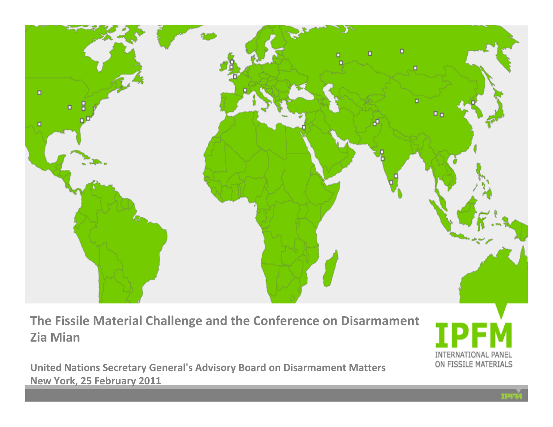

**The Fissile Material Challenge and the Conference on Disarmament Zia Mian**

**United Nations Secretary General's Advisory Board on Disarmament Matters New York, 25 February 2011**

INTERNATIONAL PANEL ON FISSILE MATERIALS

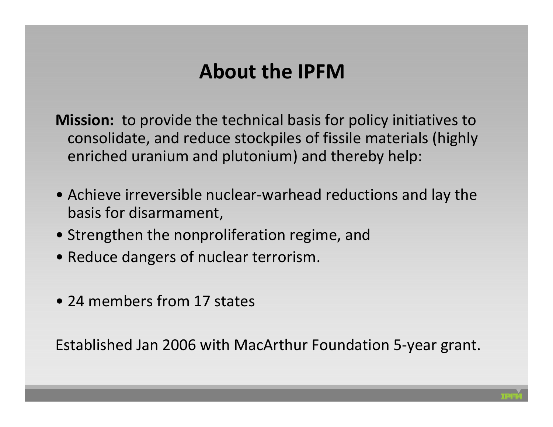### **About the IPFM**

**Mission:** to provide the technical basis for policy initiatives to consolidate, and reduce stockpiles of fissile materials (highly enriched uranium and plutonium) and thereby help:

- Achieve irreversible nuclear‐warhead reductions and lay the basis for disarmament,
- Strengthen the nonproliferation regime, and
- Reduce dangers of nuclear terrorism.
- 24 members from 17 states

Established Jan 2006 with MacArthur Foundation 5‐year grant.

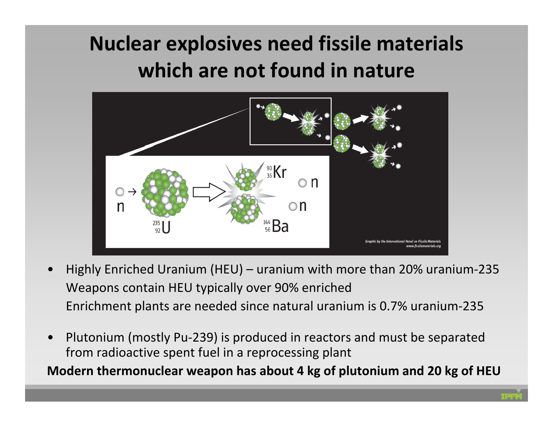# **Nuclear explosives need fissile materials which are not found in nature**



- • Highly Enriched Uranium (HEU) – uranium with more than 20% uranium‐235 Weapons contain HEU typically over 90% enriched Enrichment plants are needed since natural uranium is 0.7% uranium‐235
- • Plutonium (mostly Pu‐239) is produced in reactors and must be separated from radioactive spent fuel in <sup>a</sup> reprocessing plant

**Modern thermonuclear weapon has about 4 kg of plutonium and 20 kg of HEU**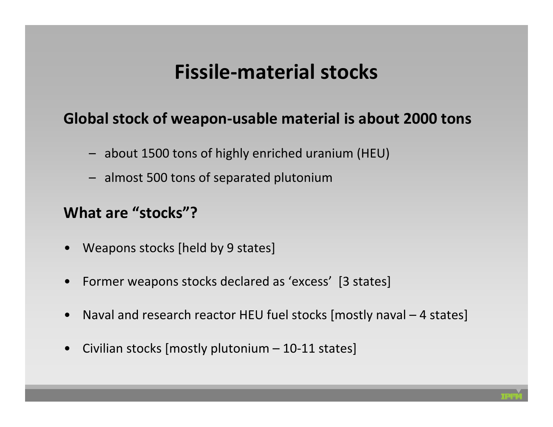### **Fissile‐material stocks**

#### **Global stock of weapon‐usable material is about 2000 tons**

- about 1500 tons of highly enriched uranium (HEU)
- almost 500 tons of separated plutonium

#### **What are "stocks"?**

- Weapons stocks [held by 9 states]
- •Former weapons stocks declared as 'excess' [3 states]
- •Naval and research reactor HEU fuel stocks [mostly naval – 4 states]
- •Civilian stocks [mostly plutonium – 10‐11 states]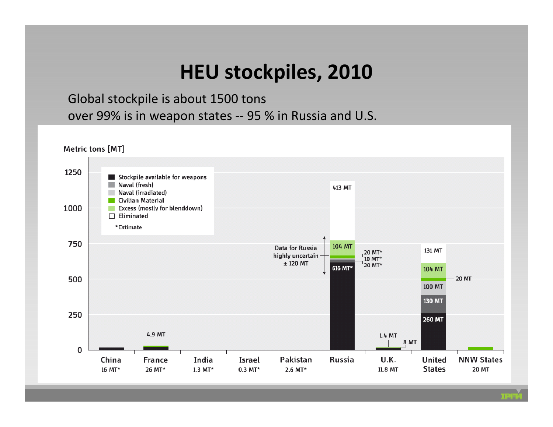#### **HEU stockpiles, 2010**

Global stockpile is about 1500 tons over 99% is in weapon states ‐‐ 95 % in Russia and U.S.

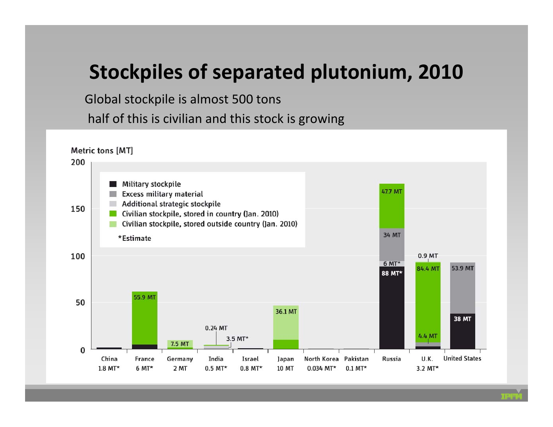#### **Stockpiles of separated plutonium, 2010**

Global stockpile is almost 500 tons half of this is civilian and this stock is growing

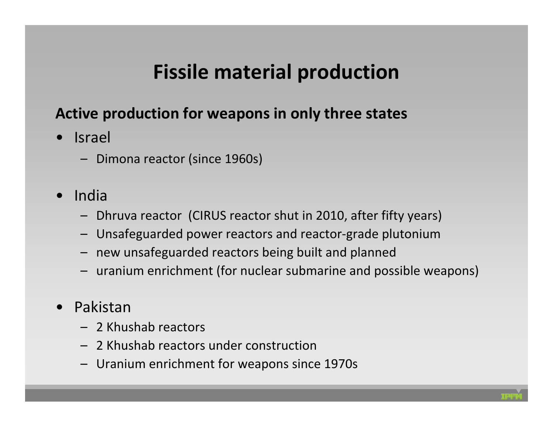## **Fissile material production**

#### **Active production for weapons in only three states**

- • Israel
	- Dimona reactor (since 1960s)
- • India
	- Dhruva reactor (CIRUS reactor shut in 2010, after fifty years)
	- Unsafeguarded power reactors and reactor‐grade plutonium
	- new unsafeguarded reactors being built and planned
	- uranium enrichment (for nuclear submarine and possible weapons)
- • Pakistan
	- 2 Khushab reactors
	- 2 Khushab reactors under construction
	- Uranium enrichment for weapons since 1970s

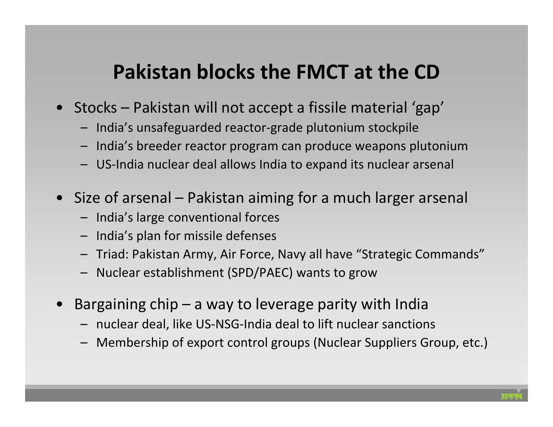#### **Pakistan blocks the FMCT at the CD**

- Stocks Pakistan will not accept <sup>a</sup> fissile material 'gap'
	- India's unsafeguarded reactor‐grade plutonium stockpile
	- India's breeder reactor program can produce weapons plutonium
	- US‐India nuclear deal allows India to expand its nuclear arsenal
- Size of arsenal Pakistan aiming for <sup>a</sup> much larger arsenal
	- India's large conventional forces
	- India's plan for missile defenses
	- Triad: Pakistan Army, Air Force, Navy all have "Strategic Commands"
	- Nuclear establishment (SPD/PAEC) wants to grow
- •Bargaining  $\text{chip} - \text{a}$  way to leverage parity with India
	- nuclear deal, like US‐NSG‐India deal to lift nuclear sanctions
	- Membership of export control groups (Nuclear Suppliers Group, etc.)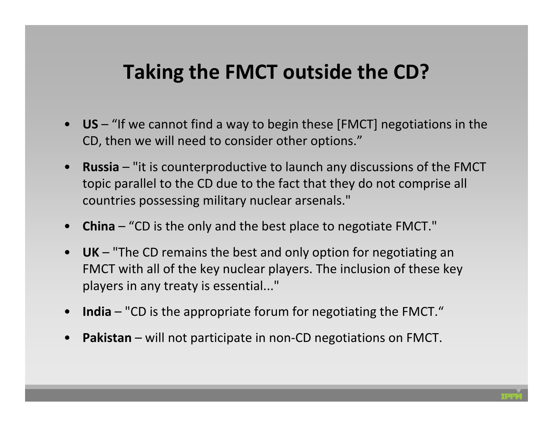### **Taking the FMCT outside the CD?**

- **US** "If we cannot find <sup>a</sup> way to begin these [FMCT] negotiations in the CD, then we will need to consider other options."
- **Russia** "it is counterproductive to launch any discussions of the FMCT topic parallel to the CD due to the fact that they do not comprise all countries possessing military nuclear arsenals."
- **China** "CD is the only and the best place to negotiate FMCT."
- **UK** "The CD remains the best and only option for negotiating an FMCT with all of the key nuclear players. The inclusion of these key players in any treaty is essential..."
- **India** "CD is the appropriate forum for negotiating the FMCT."
- •**Pakistan** – will not participate in non‐CD negotiations on FMCT.

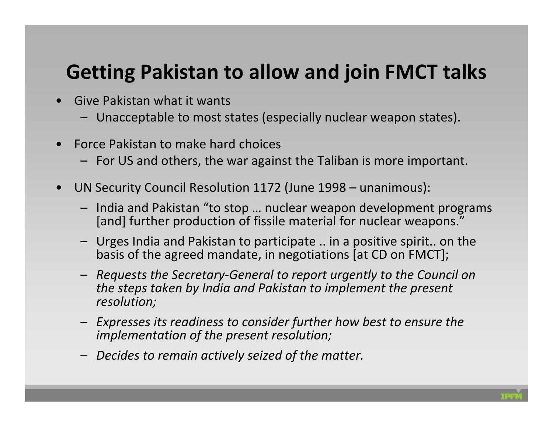## **Getting Pakistan to allow and join FMCT talks**

- • Give Pakistan what it wants
	- Unacceptable to most states (especially nuclear weapon states).
- • Force Pakistan to make hard choices
	- For US and others, the war against the Taliban is more important.
- • UN Security Council Resolution 1172 (June 1998 – unanimous):
	- India and Pakistan "to stop … nuclear weapon development programs [and] further production of fissile material for nuclear weapons."
	- Urges India and Pakistan to participate .. in <sup>a</sup> positive spirit.. on the basis of the agreed mandate, in negotiations [at CD on FMCT];
	- *Requests the Secretary‐General to report urgently to the Council on the steps taken by India and Pakistan to implement the present resolution;*
	- *Expresses its readiness to consider further how best to ensure the implementation of the present resolution;*
	- *Decides to remain actively seized of the matter.*

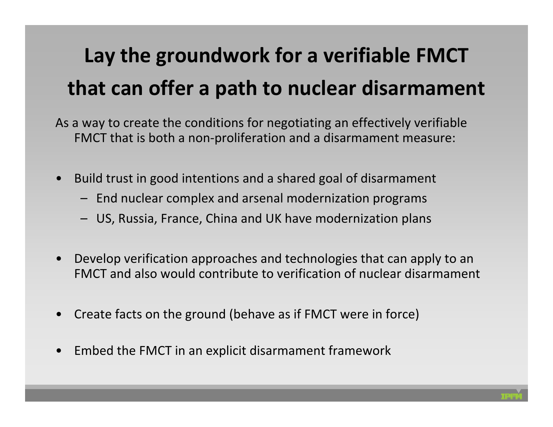# **Lay the groundwork for <sup>a</sup> verifiable FMCT that can offer <sup>a</sup> path to nuclear disarmament**

As a way to create the conditions for negotiating an effectively verifiable FMCT that is both <sup>a</sup> non‐proliferation and <sup>a</sup> disarmament measure:

- • Build trust in good intentions and <sup>a</sup> shared goal of disarmament
	- End nuclear complex and arsenal modernization programs
	- US, Russia, France, China and UK have modernization plans
- • Develop verification approaches and technologies that can apply to an FMCT and also would contribute to verification of nuclear disarmament
- •Create facts on the ground (behave as if FMCT were in force)
- •Embed the FMCT in an explicit disarmament framework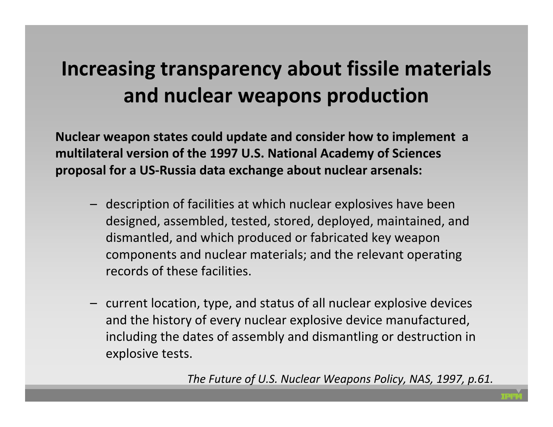## **Increasing transparency about fissile materials and nuclear weapons production**

**Nuclear weapon states could update and consider how to implement <sup>a</sup> multilateral version of the 1997 U.S. National Academy of Sciences proposal for <sup>a</sup> US‐Russia data exchange about nuclear arsenals:**

- description of facilities at which nuclear explosives have been designed, assembled, tested, stored, deployed, maintained, and dismantled, and which produced or fabricated key weapon components and nuclear materials; and the relevant operating records of these facilities.
- current location, type, and status of all nuclear explosive devices and the history of every nuclear explosive device manufactured, including the dates of assembly and dismantling or destruction in explosive tests.

*The Future of U.S. Nuclear Weapons Policy, NAS, 1997, p.61.*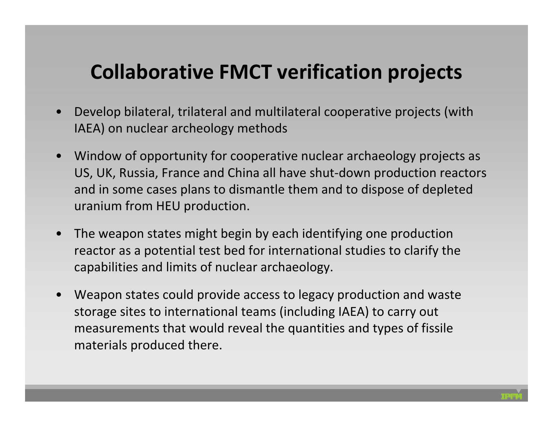### **Collaborative FMCT verification projects**

- • Develop bilateral, trilateral and multilateral cooperative projects (with IAEA) on nuclear archeology methods
- • Window of opportunity for cooperative nuclear archaeology projects as US, UK, Russia, France and China all have shut‐down production reactors and in some cases plans to dismantle them and to dispose of depleted uranium from HEU production.
- • The weapon states might begin by each identifying one production reactor as a potential test bed for international studies to clarify the capabilities and limits of nuclear archaeology.
- • Weapon states could provide access to legacy production and waste storage sites to international teams (including IAEA) to carry out measurements that would reveal the quantities and types of fissile materials produced there.

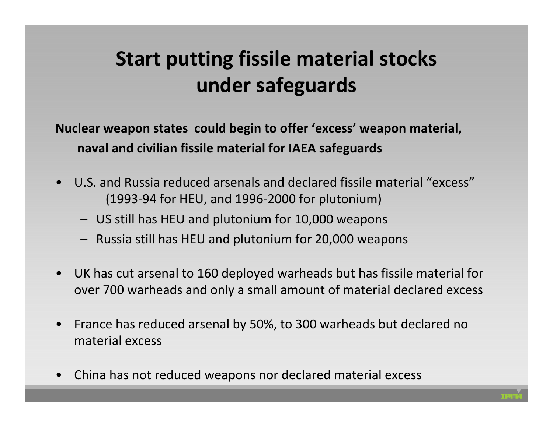# **Start putting fissile material stocks under safeguards**

**Nuclear weapon states could begin to offer 'excess' weapon material, naval and civilian fissile material for IAEA safeguards**

- • U.S. and Russia reduced arsenals and declared fissile material "excess" (1993‐94 for HEU, and 1996‐2000 for plutonium)
	- US still has HEU and plutonium for 10,000 weapons
	- Russia still has HEU and plutonium for 20,000 weapons
- UK has cut arsenal to 160 deployed warheads but has fissile material for over 700 warheads and only <sup>a</sup> small amount of material declared excess
- • France has reduced arsenal by 50%, to 300 warheads but declared no material excess
- •China has not reduced weapons nor declared material excess